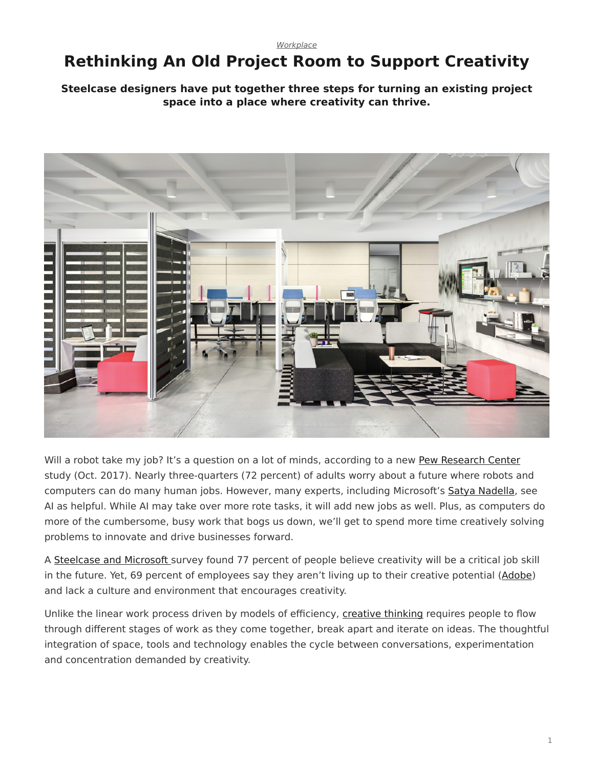# <span id="page-0-0"></span>**Rethinking An Old Project Room to Support Creativity**

### **Steelcase designers have put together three steps for turning an existing project space into a place where creativity can thrive.**



Will a robot take my job? It's a question on a lot of minds, according to a new [Pew Research Center](http://www.pewresearch.org/fact-tank/2017/10/04/6-key-findings-on-how-americans-see-the-rise-of-automation/) study (Oct. 2017). Nearly three-quarters (72 percent) of adults worry about a future where robots and computers can do many human jobs. However, many experts, including Microsoft's [Satya Nadella,](http://www.slate.com/articles/technology/future_tense/2016/06/microsoft_ceo_satya_nadella_humans_and_a_i_can_work_together_to_solve_society.html) see AI as helpful. While AI may take over more rote tasks, it will add new jobs as well. Plus, as computers do more of the cumbersome, busy work that bogs us down, we'll get to spend more time creatively solving problems to innovate and drive businesses forward.

A [Steelcase and Microsoft](https://www.steelcase.com/research/articles/topics/technology/trends-360/) survey found 77 percent of people believe creativity will be a critical job skill in the future. Yet, 69 percent of employees say they aren't living up to their creative potential [\(Adobe\)](https://www.steelcase.com/360-focus-creativity/) and lack a culture and environment that encourages creativity.

Unlike the linear work process driven by models of efficiency, [creative thinking](https://www.steelcase.com/research/articles/topics/technology/watch-unlocking-peoples-creative-potential-work/) requires people to flow through different stages of work as they come together, break apart and iterate on ideas. The thoughtful integration of space, tools and technology enables the cycle between conversations, experimentation and concentration demanded by creativity.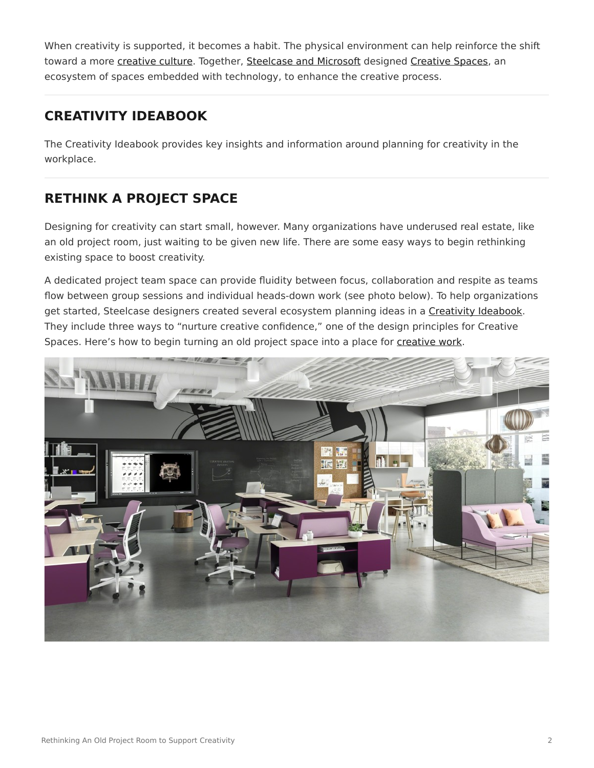When creativity is supported, it becomes a habit. The physical environment can help reinforce the shift toward a more [creative culture.](https://www.steelcase.com/research/topics/creativity/) Together, [Steelcase and Microsoft](https://www.steelcase.com/research/articles/topics/creativity/creative-shift/) designed [Creative Spaces](https://www.steelcase.com/microsoft-steelcase/creativity/), an ecosystem of spaces embedded with technology, to enhance the creative process.

### **CREATIVITY IDEABOOK**

The Creativity Ideabook provides key insights and information around planning for creativity in the workplace.

## **RETHINK A PROJECT SPACE**

Designing for creativity can start small, however. Many organizations have underused real estate, like an old project room, just waiting to be given new life. There are some easy ways to begin rethinking existing space to boost creativity.

A dedicated project team space can provide fluidity between focus, collaboration and respite as teams flow between group sessions and individual heads-down work (see photo below). To help organizations get started, Steelcase designers created several ecosystem planning ideas in a [Creativity Ideabook.](https://info.steelcase.com/creativity-ideabook) They include three ways to "nurture creative confidence," one of the design principles for Creative Spaces. Here's how to begin turning an old project space into a place for [creative work](https://www.steelcase.com/research/podcasts/topics/technology/listen-future-work-creative/).